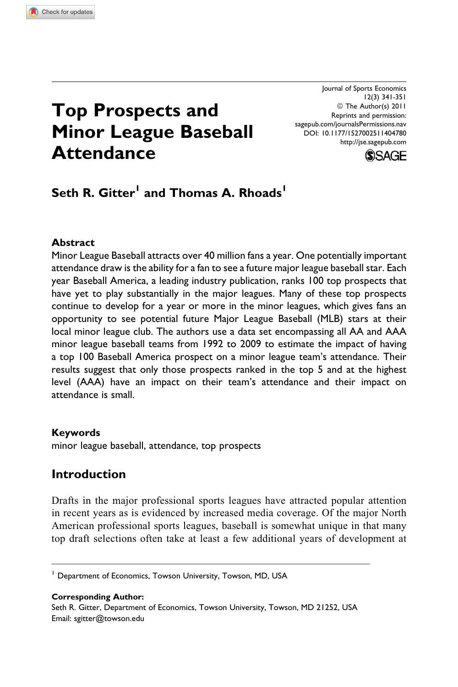Journal of Sports Economics 12(3) 341-351 © The Author(s) 2011 Reprints and permission: sagepub.com/journalsPermissions.nav DOI: 10.1177/1527002511404780 http://jse.sagepub.com



# Top Prospects and Minor League Baseball **Attendance**

## Seth R. Gitter<sup>1</sup> and Thomas A. Rhoads<sup>1</sup>

#### Abstract

Minor League Baseball attracts over 40 million fans a year. One potentially important attendance draw is the ability for a fan to see a future major league baseball star. Each year Baseball America, a leading industry publication, ranks 100 top prospects that have yet to play substantially in the major leagues. Many of these top prospects continue to develop for a year or more in the minor leagues, which gives fans an opportunity to see potential future Major League Baseball (MLB) stars at their local minor league club. The authors use a data set encompassing all AA and AAA minor league baseball teams from 1992 to 2009 to estimate the impact of having a top 100 Baseball America prospect on a minor league team's attendance. Their results suggest that only those prospects ranked in the top 5 and at the highest level (AAA) have an impact on their team's attendance and their impact on attendance is small.

#### Keywords

minor league baseball, attendance, top prospects

## Introduction

Drafts in the major professional sports leagues have attracted popular attention in recent years as is evidenced by increased media coverage. Of the major North American professional sports leagues, baseball is somewhat unique in that many top draft selections often take at least a few additional years of development at

Corresponding Author:

Seth R. Gitter, Department of Economics, Towson University, Towson, MD 21252, USA Email: sgitter@towson.edu

Department of Economics, Towson University, Towson, MD, USA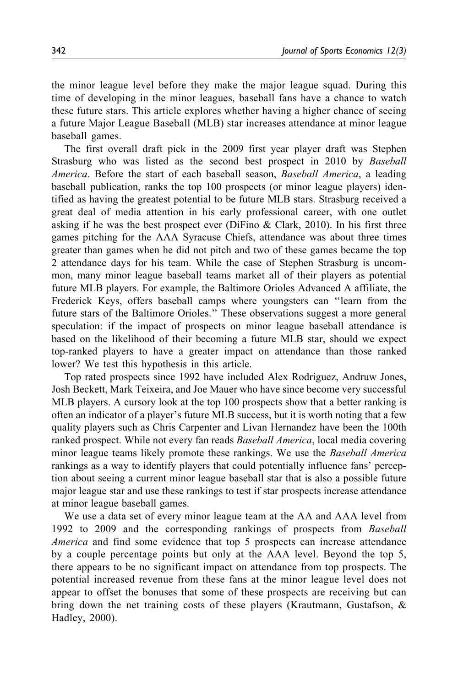the minor league level before they make the major league squad. During this time of developing in the minor leagues, baseball fans have a chance to watch these future stars. This article explores whether having a higher chance of seeing a future Major League Baseball (MLB) star increases attendance at minor league baseball games.

The first overall draft pick in the 2009 first year player draft was Stephen Strasburg who was listed as the second best prospect in 2010 by *Baseball* America. Before the start of each baseball season, Baseball America, a leading baseball publication, ranks the top 100 prospects (or minor league players) identified as having the greatest potential to be future MLB stars. Strasburg received a great deal of media attention in his early professional career, with one outlet asking if he was the best prospect ever (DiFino & Clark, 2010). In his first three games pitching for the AAA Syracuse Chiefs, attendance was about three times greater than games when he did not pitch and two of these games became the top 2 attendance days for his team. While the case of Stephen Strasburg is uncommon, many minor league baseball teams market all of their players as potential future MLB players. For example, the Baltimore Orioles Advanced A affiliate, the Frederick Keys, offers baseball camps where youngsters can ''learn from the future stars of the Baltimore Orioles.'' These observations suggest a more general speculation: if the impact of prospects on minor league baseball attendance is based on the likelihood of their becoming a future MLB star, should we expect top-ranked players to have a greater impact on attendance than those ranked lower? We test this hypothesis in this article.

Top rated prospects since 1992 have included Alex Rodriguez, Andruw Jones, Josh Beckett, Mark Teixeira, and Joe Mauer who have since become very successful MLB players. A cursory look at the top 100 prospects show that a better ranking is often an indicator of a player's future MLB success, but it is worth noting that a few quality players such as Chris Carpenter and Livan Hernandez have been the 100th ranked prospect. While not every fan reads Baseball America, local media covering minor league teams likely promote these rankings. We use the Baseball America rankings as a way to identify players that could potentially influence fans' perception about seeing a current minor league baseball star that is also a possible future major league star and use these rankings to test if star prospects increase attendance at minor league baseball games.

We use a data set of every minor league team at the AA and AAA level from 1992 to 2009 and the corresponding rankings of prospects from Baseball America and find some evidence that top 5 prospects can increase attendance by a couple percentage points but only at the AAA level. Beyond the top 5, there appears to be no significant impact on attendance from top prospects. The potential increased revenue from these fans at the minor league level does not appear to offset the bonuses that some of these prospects are receiving but can bring down the net training costs of these players (Krautmann, Gustafson, & Hadley, 2000).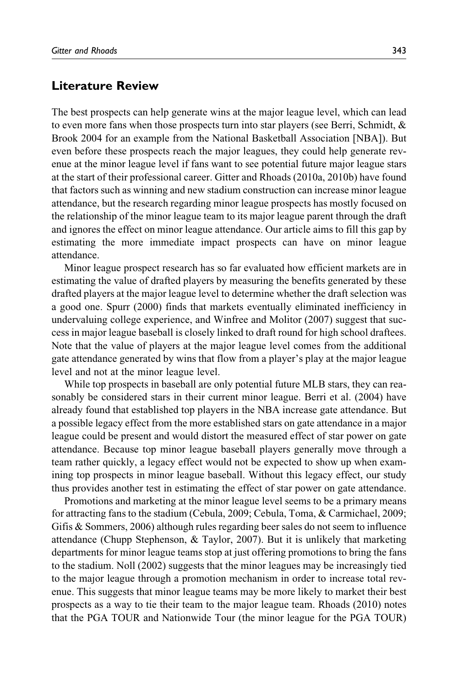## Literature Review

The best prospects can help generate wins at the major league level, which can lead to even more fans when those prospects turn into star players (see Berri, Schmidt, & Brook 2004 for an example from the National Basketball Association [NBA]). But even before these prospects reach the major leagues, they could help generate revenue at the minor league level if fans want to see potential future major league stars at the start of their professional career. Gitter and Rhoads (2010a, 2010b) have found that factors such as winning and new stadium construction can increase minor league attendance, but the research regarding minor league prospects has mostly focused on the relationship of the minor league team to its major league parent through the draft and ignores the effect on minor league attendance. Our article aims to fill this gap by estimating the more immediate impact prospects can have on minor league attendance.

Minor league prospect research has so far evaluated how efficient markets are in estimating the value of drafted players by measuring the benefits generated by these drafted players at the major league level to determine whether the draft selection was a good one. Spurr (2000) finds that markets eventually eliminated inefficiency in undervaluing college experience, and Winfree and Molitor (2007) suggest that success in major league baseball is closely linked to draft round for high school draftees. Note that the value of players at the major league level comes from the additional gate attendance generated by wins that flow from a player's play at the major league level and not at the minor league level.

While top prospects in baseball are only potential future MLB stars, they can reasonably be considered stars in their current minor league. Berri et al. (2004) have already found that established top players in the NBA increase gate attendance. But a possible legacy effect from the more established stars on gate attendance in a major league could be present and would distort the measured effect of star power on gate attendance. Because top minor league baseball players generally move through a team rather quickly, a legacy effect would not be expected to show up when examining top prospects in minor league baseball. Without this legacy effect, our study thus provides another test in estimating the effect of star power on gate attendance.

Promotions and marketing at the minor league level seems to be a primary means for attracting fans to the stadium (Cebula, 2009; Cebula, Toma, & Carmichael, 2009; Gifis & Sommers, 2006) although rules regarding beer sales do not seem to influence attendance (Chupp Stephenson, & Taylor, 2007). But it is unlikely that marketing departments for minor league teams stop at just offering promotions to bring the fans to the stadium. Noll (2002) suggests that the minor leagues may be increasingly tied to the major league through a promotion mechanism in order to increase total revenue. This suggests that minor league teams may be more likely to market their best prospects as a way to tie their team to the major league team. Rhoads (2010) notes that the PGA TOUR and Nationwide Tour (the minor league for the PGA TOUR)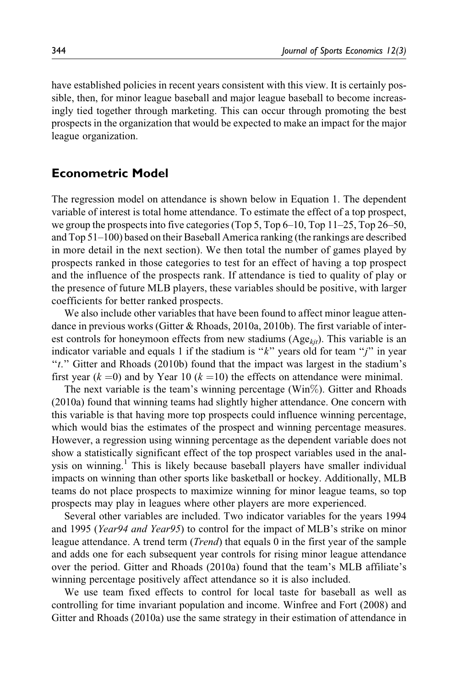have established policies in recent years consistent with this view. It is certainly possible, then, for minor league baseball and major league baseball to become increasingly tied together through marketing. This can occur through promoting the best prospects in the organization that would be expected to make an impact for the major league organization.

## Econometric Model

The regression model on attendance is shown below in Equation 1. The dependent variable of interest is total home attendance. To estimate the effect of a top prospect, we group the prospects into five categories (Top 5, Top 6–10, Top 11–25, Top 26–50, and Top 51–100) based on their Baseball America ranking (the rankings are described in more detail in the next section). We then total the number of games played by prospects ranked in those categories to test for an effect of having a top prospect and the influence of the prospects rank. If attendance is tied to quality of play or the presence of future MLB players, these variables should be positive, with larger coefficients for better ranked prospects.

We also include other variables that have been found to affect minor league attendance in previous works (Gitter & Rhoads, 2010a, 2010b). The first variable of interest controls for honeymoon effects from new stadiums ( $Age_{kit}$ ). This variable is an indicator variable and equals 1 if the stadium is " $k$ " years old for team "j" in year " $t$ ." Gitter and Rhoads (2010b) found that the impact was largest in the stadium's first year ( $k = 0$ ) and by Year 10 ( $k = 10$ ) the effects on attendance were minimal.

The next variable is the team's winning percentage ( $Win\%$ ). Gitter and Rhoads (2010a) found that winning teams had slightly higher attendance. One concern with this variable is that having more top prospects could influence winning percentage, which would bias the estimates of the prospect and winning percentage measures. However, a regression using winning percentage as the dependent variable does not show a statistically significant effect of the top prospect variables used in the analysis on winning.<sup>1</sup> This is likely because baseball players have smaller individual impacts on winning than other sports like basketball or hockey. Additionally, MLB teams do not place prospects to maximize winning for minor league teams, so top prospects may play in leagues where other players are more experienced.

Several other variables are included. Two indicator variables for the years 1994 and 1995 (Year94 and Year95) to control for the impact of MLB's strike on minor league attendance. A trend term (*Trend*) that equals 0 in the first year of the sample and adds one for each subsequent year controls for rising minor league attendance over the period. Gitter and Rhoads (2010a) found that the team's MLB affiliate's winning percentage positively affect attendance so it is also included.

We use team fixed effects to control for local taste for baseball as well as controlling for time invariant population and income. Winfree and Fort (2008) and Gitter and Rhoads (2010a) use the same strategy in their estimation of attendance in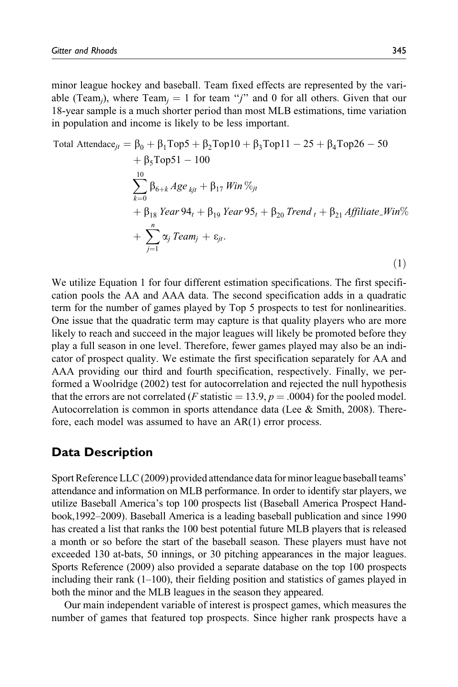minor league hockey and baseball. Team fixed effects are represented by the variable (Team<sub>i</sub>), where Team<sub>i</sub> = 1 for team "j" and 0 for all others. Given that our 18-year sample is a much shorter period than most MLB estimations, time variation in population and income is likely to be less important.

Total Attendace<sub>jt</sub> = 
$$
\beta_0 + \beta_1 \text{Top5} + \beta_2 \text{Top10} + \beta_3 \text{Top11} - 25 + \beta_4 \text{Top26} - 50
$$
  
+  $\beta_5 \text{Top51} - 100$   

$$
\sum_{k=0}^{10} \beta_{6+k} Age_{kjt} + \beta_{17} Win \%_{jt}
$$

$$
+ \beta_{18} Year 94_t + \beta_{19} Year 95_t + \beta_{20} Trend_t + \beta_{21} Affiliate\_Win\% + \sum_{j=1}^{n} \alpha_j Team_j + \varepsilon_{jt}.
$$

$$
(1)
$$

We utilize Equation 1 for four different estimation specifications. The first specification pools the AA and AAA data. The second specification adds in a quadratic term for the number of games played by Top 5 prospects to test for nonlinearities. One issue that the quadratic term may capture is that quality players who are more likely to reach and succeed in the major leagues will likely be promoted before they play a full season in one level. Therefore, fewer games played may also be an indicator of prospect quality. We estimate the first specification separately for AA and AAA providing our third and fourth specification, respectively. Finally, we performed a Woolridge (2002) test for autocorrelation and rejected the null hypothesis that the errors are not correlated (*F* statistic  $= 13.9, p = .0004$ ) for the pooled model. Autocorrelation is common in sports attendance data (Lee & Smith, 2008). Therefore, each model was assumed to have an AR(1) error process.

## Data Description

Sport Reference LLC (2009) provided attendance data for minor league baseball teams' attendance and information on MLB performance. In order to identify star players, we utilize Baseball America's top 100 prospects list (Baseball America Prospect Handbook,1992–2009). Baseball America is a leading baseball publication and since 1990 has created a list that ranks the 100 best potential future MLB players that is released a month or so before the start of the baseball season. These players must have not exceeded 130 at-bats, 50 innings, or 30 pitching appearances in the major leagues. Sports Reference (2009) also provided a separate database on the top 100 prospects including their rank  $(1-100)$ , their fielding position and statistics of games played in both the minor and the MLB leagues in the season they appeared.

Our main independent variable of interest is prospect games, which measures the number of games that featured top prospects. Since higher rank prospects have a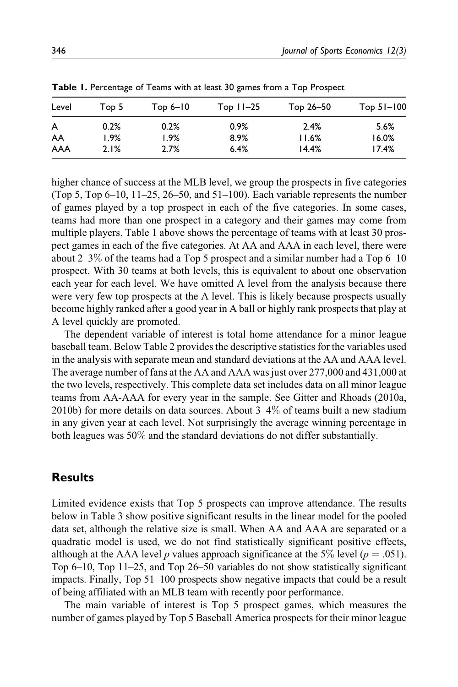| Level | Top 5 | $Top 6-10$ | $Top II-25$ | Top 26-50 | $Top 51-100$ |
|-------|-------|------------|-------------|-----------|--------------|
| A     | 0.2%  | 0.2%       | 0.9%        | 2.4%      | 5.6%         |
| AA    | l.9%  | 1.9%       | 8.9%        | 11.6%     | 16.0%        |
| AAA   | 2.1%  | 2.7%       | 6.4%        | 14.4%     | 17.4%        |

Table 1. Percentage of Teams with at least 30 games from a Top Prospect

higher chance of success at the MLB level, we group the prospects in five categories (Top 5, Top  $6-10$ ,  $11-25$ ,  $26-50$ , and  $51-100$ ). Each variable represents the number of games played by a top prospect in each of the five categories. In some cases, teams had more than one prospect in a category and their games may come from multiple players. Table 1 above shows the percentage of teams with at least 30 prospect games in each of the five categories. At AA and AAA in each level, there were about  $2-3\%$  of the teams had a Top 5 prospect and a similar number had a Top 6–10 prospect. With 30 teams at both levels, this is equivalent to about one observation each year for each level. We have omitted A level from the analysis because there were very few top prospects at the A level. This is likely because prospects usually become highly ranked after a good year in A ball or highly rank prospects that play at A level quickly are promoted.

The dependent variable of interest is total home attendance for a minor league baseball team. Below Table 2 provides the descriptive statistics for the variables used in the analysis with separate mean and standard deviations at the AA and AAA level. The average number of fans at the AA and AAA was just over 277,000 and 431,000 at the two levels, respectively. This complete data set includes data on all minor league teams from AA-AAA for every year in the sample. See Gitter and Rhoads (2010a, 2010b) for more details on data sources. About 3–4% of teams built a new stadium in any given year at each level. Not surprisingly the average winning percentage in both leagues was 50% and the standard deviations do not differ substantially.

## Results

Limited evidence exists that Top 5 prospects can improve attendance. The results below in Table 3 show positive significant results in the linear model for the pooled data set, although the relative size is small. When AA and AAA are separated or a quadratic model is used, we do not find statistically significant positive effects, although at the AAA level p values approach significance at the 5% level ( $p = .051$ ). Top 6–10, Top 11–25, and Top 26–50 variables do not show statistically significant impacts. Finally, Top 51–100 prospects show negative impacts that could be a result of being affiliated with an MLB team with recently poor performance.

The main variable of interest is Top 5 prospect games, which measures the number of games played by Top 5 Baseball America prospects for their minor league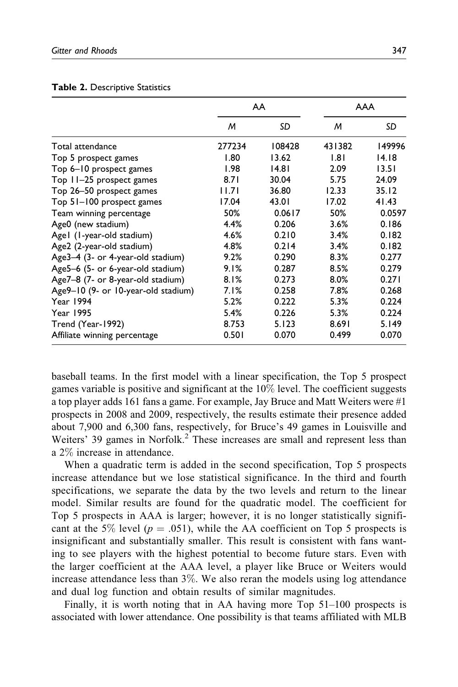|                                     |        | AA     |        | <b>AAA</b> |
|-------------------------------------|--------|--------|--------|------------|
|                                     | М      | SD     | М      | SD         |
| Total attendance                    | 277234 | 108428 | 431382 | 149996     |
| Top 5 prospect games                | 1.80   | 13.62  | 1.81   | 14.18      |
| Top 6-10 prospect games             | 1.98   | 14.81  | 2.09   | 13.51      |
| Top 11-25 prospect games            | 8.71   | 30.04  | 5.75   | 24.09      |
| Top 26–50 prospect games            | 11.71  | 36.80  | 12.33  | 35.12      |
| Top 51-100 prospect games           | 17.04  | 43.01  | 17.02  | 41.43      |
| Team winning percentage             | 50%    | 0.0617 | 50%    | 0.0597     |
| Age0 (new stadium)                  | 4.4%   | 0.206  | 3.6%   | 0.186      |
| Agel (1-year-old stadium)           | 4.6%   | 0.210  | 3.4%   | 0.182      |
| Age2 (2-year-old stadium)           | 4.8%   | 0.214  | 3.4%   | 0.182      |
| Age3-4 (3- or 4-year-old stadium)   | 9.2%   | 0.290  | 8.3%   | 0.277      |
| Age5-6 (5- or 6-year-old stadium)   | 9.1%   | 0.287  | 8.5%   | 0.279      |
| Age7-8 (7- or 8-year-old stadium)   | 8.1%   | 0.273  | 8.0%   | 0.271      |
| Age9-10 (9- or 10-year-old stadium) | 7.1%   | 0.258  | 7.8%   | 0.268      |
| Year 1994                           | 5.2%   | 0.222  | 5.3%   | 0.224      |
| Year 1995                           | 5.4%   | 0.226  | 5.3%   | 0.224      |
| Trend (Year-1992)                   | 8.753  | 5.123  | 8.691  | 5.149      |
| Affiliate winning percentage        | 0.501  | 0.070  | 0.499  | 0.070      |

#### Table 2. Descriptive Statistics

baseball teams. In the first model with a linear specification, the Top 5 prospect games variable is positive and significant at the 10% level. The coefficient suggests a top player adds 161 fans a game. For example, Jay Bruce and Matt Weiters were #1 prospects in 2008 and 2009, respectively, the results estimate their presence added about 7,900 and 6,300 fans, respectively, for Bruce's 49 games in Louisville and Weiters' 39 games in Norfolk.<sup>2</sup> These increases are small and represent less than a 2% increase in attendance.

When a quadratic term is added in the second specification, Top 5 prospects increase attendance but we lose statistical significance. In the third and fourth specifications, we separate the data by the two levels and return to the linear model. Similar results are found for the quadratic model. The coefficient for Top 5 prospects in AAA is larger; however, it is no longer statistically significant at the 5% level ( $p = .051$ ), while the AA coefficient on Top 5 prospects is insignificant and substantially smaller. This result is consistent with fans wanting to see players with the highest potential to become future stars. Even with the larger coefficient at the AAA level, a player like Bruce or Weiters would increase attendance less than  $3\%$ . We also reran the models using log attendance and dual log function and obtain results of similar magnitudes.

Finally, it is worth noting that in AA having more Top 51–100 prospects is associated with lower attendance. One possibility is that teams affiliated with MLB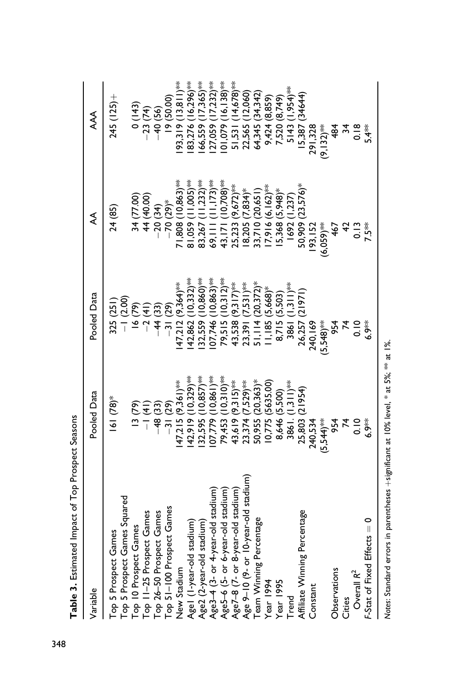| Variable                                                                           | Pooled Data                    | Pooled Data                     | ₹                    | LAA                   |
|------------------------------------------------------------------------------------|--------------------------------|---------------------------------|----------------------|-----------------------|
| Top 5 Prospect Games Squared<br>Top 5 Prospect Games                               | $161(78)$ *                    | $-1(2.00)$<br>325 (251)         | 24 (85)              | $245(125) +$          |
| Top 10 Prospect Games                                                              |                                | 16(79)                          | 34 (77.00)           | $(6 + 1)$             |
| Top 11-25 Prospect Games                                                           | $\frac{13(79)}{-1(41)}$        | $-2(41)$                        | 44 (40.00)           | $-23(74)$             |
| Top 26-50 Prospect Games                                                           | $-48(33)$                      | $-44(33)$                       | $-20(34)$            | $-40(56)$             |
| Top 51-100 Prospect Games                                                          | $-31(29)$                      | $-31(29)$                       | $-70(29)$ *          | 19(50.00)             |
| New Stadium                                                                        | 47,215 $(9,361)$ <sup>**</sup> | $47,212$ (9,364)**              | 71,808 (10,863)***   | $93.319(13.811)$ **   |
| Age I (I-year-old stadium)                                                         | 42,919 (10,329) $^*$           | 42,862 $(10,332)$ <sup>**</sup> | $81,059$ (11,005)    | 83,276 $(16,296)$ **  |
| Age2 (2-year-old stadium)                                                          | 32,595 (10,857)**              | $32,559(10,860)$ <sup>***</sup> | 83,267 (11,232)***   | 66,559 (17,365)**     |
| Age3-4 (3- or 4-year-old stadium)                                                  | $07,779$ (10,861)***           | $07,746$ (10,863)***            | 69, III (II, I73)*** | $27,059$ (17,232)**   |
| Age5-6 (5- or 6-year-old stadium)                                                  | $79,453$ $(10,310)$ ***        | 79,515 $(10,312)$ **            | $43,171(10,708)$ **  | $01,079$ (16,138) $*$ |
| Age7-8 (7- or 8-year-old stadium)                                                  | $43,619(9,315)$ <sup>**</sup>  | 43,538 (9,317)**                | 25,233 (9,672)**     | $51,531(14,678)$ **   |
| Age 9-10 (9- or 10-year-old stadium)                                               | $(7,529)$ <sup>**</sup>        | $(7,531)^{***}$                 | $18,205$ $(7,834)*$  | 22,565 (12,060)       |
| Team Winning Percentage                                                            | 50,955 (20,363)*               | $51,114(20,372)^*$              | 33,710 (20,651)      | 64,345 (34,342)       |
| Year 1994                                                                          | 0,775 (5635.00)                | $1,185$ (5,668)*                | $17,916(6,162)$ **   | 9,424 (8,859)         |
| Year 1995                                                                          | 8,646 (5,500)                  | 8,715 (5,503)                   | 5,368 (5,948)*       | 7,520 (8,749)         |
| Trend                                                                              | $3861. (1.311)^{***}$          | $3861$ $(1.311)^{***}$          | 1692 (1,237)         | $5143(1,954)$ **      |
| Affiliate Winning Percentage                                                       | 25,803 (21954)                 | 26,257 (21971)                  | 50,909 (23,576)*     | 15,387 (34644)        |
| Constant                                                                           | 240,534                        | 240,169                         | 93,152               | 291,328               |
|                                                                                    | $(5.544)$ **                   | $(5,548)$ **                    | $(6,059)$ **         | $(9, 132)$ **         |
| Observations                                                                       | 954                            | 954                             | 467                  | $rac{48}{4}$          |
| Cities                                                                             |                                | 74                              | 42                   |                       |
| Overall R <sup>2</sup>                                                             | $\frac{0}{0}$                  | 0.10                            | $\frac{3}{2}$        | $\frac{8}{0}$         |
| F-Stat of Fixed Effects = 0                                                        | 6.9**                          | 6.9**                           | *<br>【               | 5.4*                  |
| Notes: Standard errors in parentheses +significant at 10% level, * at 5%; ** at 1% |                                |                                 |                      |                       |

Table 3. Estimated Impact of Top Prospect Seasons Table 3. Estimated Impact of Top Prospect Seasons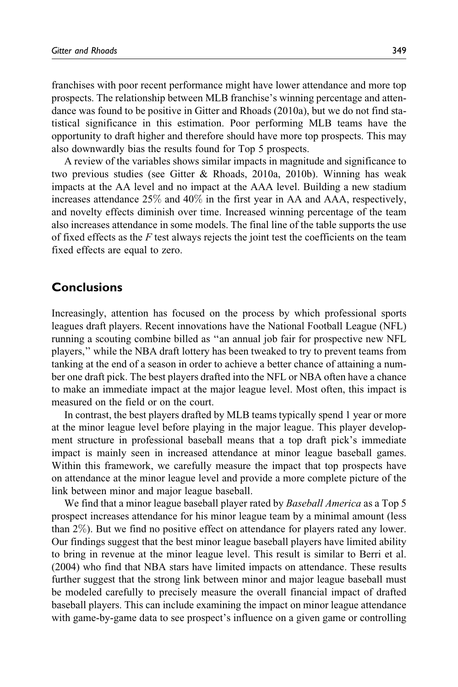franchises with poor recent performance might have lower attendance and more top prospects. The relationship between MLB franchise's winning percentage and attendance was found to be positive in Gitter and Rhoads (2010a), but we do not find statistical significance in this estimation. Poor performing MLB teams have the opportunity to draft higher and therefore should have more top prospects. This may also downwardly bias the results found for Top 5 prospects.

A review of the variables shows similar impacts in magnitude and significance to two previous studies (see Gitter & Rhoads, 2010a, 2010b). Winning has weak impacts at the AA level and no impact at the AAA level. Building a new stadium increases attendance 25% and 40% in the first year in AA and AAA, respectively, and novelty effects diminish over time. Increased winning percentage of the team also increases attendance in some models. The final line of the table supports the use of fixed effects as the  $F$  test always rejects the joint test the coefficients on the team fixed effects are equal to zero.

## **Conclusions**

Increasingly, attention has focused on the process by which professional sports leagues draft players. Recent innovations have the National Football League (NFL) running a scouting combine billed as ''an annual job fair for prospective new NFL players,'' while the NBA draft lottery has been tweaked to try to prevent teams from tanking at the end of a season in order to achieve a better chance of attaining a number one draft pick. The best players drafted into the NFL or NBA often have a chance to make an immediate impact at the major league level. Most often, this impact is measured on the field or on the court.

In contrast, the best players drafted by MLB teams typically spend 1 year or more at the minor league level before playing in the major league. This player development structure in professional baseball means that a top draft pick's immediate impact is mainly seen in increased attendance at minor league baseball games. Within this framework, we carefully measure the impact that top prospects have on attendance at the minor league level and provide a more complete picture of the link between minor and major league baseball.

We find that a minor league baseball player rated by *Baseball America* as a Top 5 prospect increases attendance for his minor league team by a minimal amount (less than 2%). But we find no positive effect on attendance for players rated any lower. Our findings suggest that the best minor league baseball players have limited ability to bring in revenue at the minor league level. This result is similar to Berri et al. (2004) who find that NBA stars have limited impacts on attendance. These results further suggest that the strong link between minor and major league baseball must be modeled carefully to precisely measure the overall financial impact of drafted baseball players. This can include examining the impact on minor league attendance with game-by-game data to see prospect's influence on a given game or controlling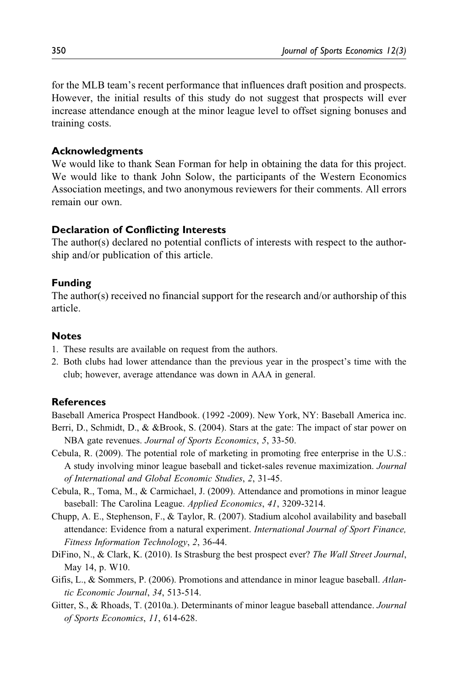for the MLB team's recent performance that influences draft position and prospects. However, the initial results of this study do not suggest that prospects will ever increase attendance enough at the minor league level to offset signing bonuses and training costs.

#### Acknowledgments

We would like to thank Sean Forman for help in obtaining the data for this project. We would like to thank John Solow, the participants of the Western Economics Association meetings, and two anonymous reviewers for their comments. All errors remain our own.

#### Declaration of Conflicting Interests

The author(s) declared no potential conflicts of interests with respect to the authorship and/or publication of this article.

#### Funding

The author(s) received no financial support for the research and/or authorship of this article.

#### **Notes**

- 1. These results are available on request from the authors.
- 2. Both clubs had lower attendance than the previous year in the prospect's time with the club; however, average attendance was down in AAA in general.

#### **References**

Baseball America Prospect Handbook. (1992 -2009). New York, NY: Baseball America inc. Berri, D., Schmidt, D., & &Brook, S. (2004). Stars at the gate: The impact of star power on NBA gate revenues. Journal of Sports Economics, 5, 33-50.

- Cebula, R. (2009). The potential role of marketing in promoting free enterprise in the U.S.: A study involving minor league baseball and ticket-sales revenue maximization. Journal of International and Global Economic Studies, 2, 31-45.
- Cebula, R., Toma, M., & Carmichael, J. (2009). Attendance and promotions in minor league baseball: The Carolina League. Applied Economics, 41, 3209-3214.
- Chupp, A. E., Stephenson, F., & Taylor, R. (2007). Stadium alcohol availability and baseball attendance: Evidence from a natural experiment. International Journal of Sport Finance, Fitness Information Technology, 2, 36-44.
- DiFino, N., & Clark, K. (2010). Is Strasburg the best prospect ever? The Wall Street Journal, May 14, p. W10.
- Gifis, L., & Sommers, P. (2006). Promotions and attendance in minor league baseball. Atlantic Economic Journal, 34, 513-514.
- Gitter, S., & Rhoads, T. (2010a.). Determinants of minor league baseball attendance. Journal of Sports Economics, 11, 614-628.